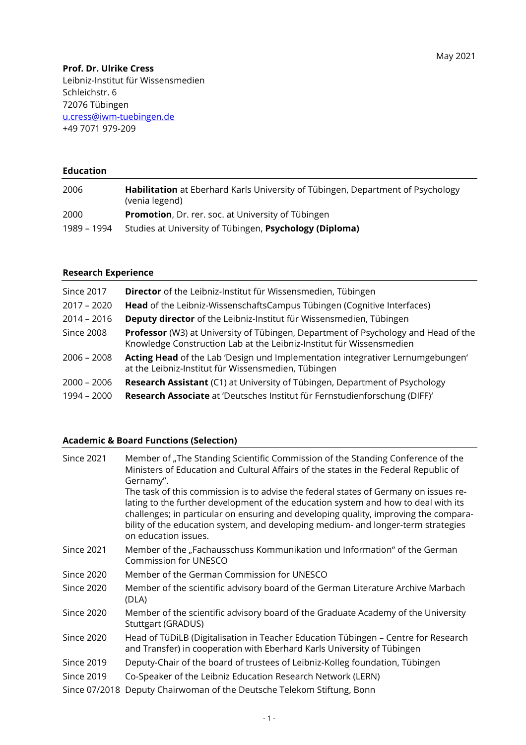## **Prof. Dr. Ulrike Cress**

Leibniz-Institut für Wissensmedien Schleichstr. 6 72076 Tübingen [u.cress@iwm-tuebingen.de](mailto:u.cress@iwm-tuebingen.de) +49 7071 979-209

# **Education**

| 2006        | Habilitation at Eberhard Karls University of Tübingen, Department of Psychology<br>(venia legend) |
|-------------|---------------------------------------------------------------------------------------------------|
| 2000        | <b>Promotion, Dr. rer. soc. at University of Tübingen</b>                                         |
| 1989 – 1994 | Studies at University of Tübingen, Psychology (Diploma)                                           |

#### **Research Experience**

| Director of the Leibniz-Institut für Wissensmedien, Tübingen                                                                                                      |
|-------------------------------------------------------------------------------------------------------------------------------------------------------------------|
| Head of the Leibniz-WissenschaftsCampus Tübingen (Cognitive Interfaces)                                                                                           |
| Deputy director of the Leibniz-Institut für Wissensmedien, Tübingen                                                                                               |
| <b>Professor</b> (W3) at University of Tübingen, Department of Psychology and Head of the<br>Knowledge Construction Lab at the Leibniz-Institut für Wissensmedien |
| Acting Head of the Lab 'Design und Implementation integrativer Lernumgebungen'<br>at the Leibniz-Institut für Wissensmedien, Tübingen                             |
| Research Assistant (C1) at University of Tübingen, Department of Psychology                                                                                       |
| Research Associate at 'Deutsches Institut für Fernstudienforschung (DIFF)'                                                                                        |
|                                                                                                                                                                   |

### **Academic & Board Functions (Selection)**

| <b>Since 2021</b> | Member of "The Standing Scientific Commission of the Standing Conference of the<br>Ministers of Education and Cultural Affairs of the states in the Federal Republic of<br>Gernamy".                                                                                                                                                                                            |
|-------------------|---------------------------------------------------------------------------------------------------------------------------------------------------------------------------------------------------------------------------------------------------------------------------------------------------------------------------------------------------------------------------------|
|                   | The task of this commission is to advise the federal states of Germany on issues re-<br>lating to the further development of the education system and how to deal with its<br>challenges; in particular on ensuring and developing quality, improving the compara-<br>bility of the education system, and developing medium- and longer-term strategies<br>on education issues. |
| <b>Since 2021</b> | Member of the "Fachausschuss Kommunikation und Information" of the German<br>Commission for UNESCO                                                                                                                                                                                                                                                                              |
| <b>Since 2020</b> | Member of the German Commission for UNESCO                                                                                                                                                                                                                                                                                                                                      |
| <b>Since 2020</b> | Member of the scientific advisory board of the German Literature Archive Marbach<br>(DLA)                                                                                                                                                                                                                                                                                       |
| <b>Since 2020</b> | Member of the scientific advisory board of the Graduate Academy of the University<br>Stuttgart (GRADUS)                                                                                                                                                                                                                                                                         |
| <b>Since 2020</b> | Head of TüDiLB (Digitalisation in Teacher Education Tübingen - Centre for Research<br>and Transfer) in cooperation with Eberhard Karls University of Tübingen                                                                                                                                                                                                                   |
| <b>Since 2019</b> | Deputy-Chair of the board of trustees of Leibniz-Kolleg foundation, Tübingen                                                                                                                                                                                                                                                                                                    |
| Since 2019        | Co-Speaker of the Leibniz Education Research Network (LERN)                                                                                                                                                                                                                                                                                                                     |
| Since 07/2018     | Deputy Chairwoman of the Deutsche Telekom Stiftung, Bonn                                                                                                                                                                                                                                                                                                                        |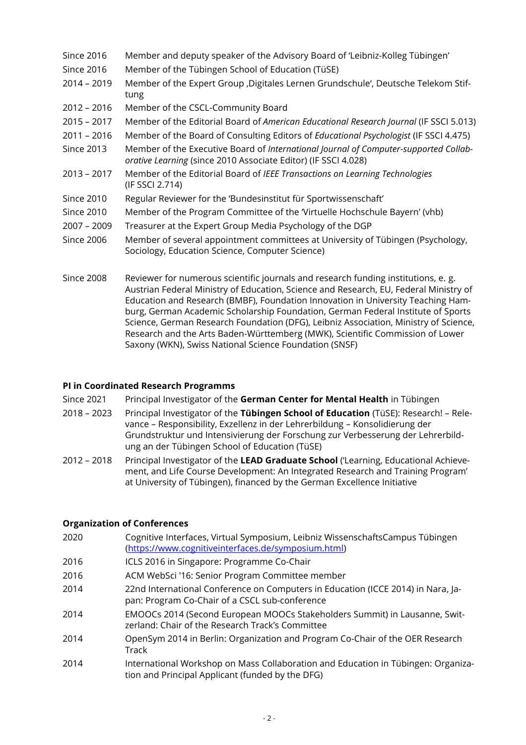- Since 2016 Member and deputy speaker of the Advisory Board of 'Leibniz-Kolleg Tübingen'
- Since 2016 Member of the Tübingen School of Education (TüSE)
- 2014 2019 Member of the Expert Group 'Digitales Lernen Grundschule', Deutsche Telekom Stiftung
- 2012 2016 Member of the CSCL-Community Board
- 2015 2017 Member of the Editorial Board of *American Educational Research Journal* (IF SSCI 5.013)
- 2011 2016 Member of the Board of Consulting Editors of *Educational Psychologist* (IF SSCI 4.475)
- Since 2013 Member of the Executive Board of *International Journal of Computer-supported Collaborative Learning* (since 2010 Associate Editor) (IF SSCI 4.028)
- 2013 2017 Member of the Editorial Board of *IEEE Transactions on Learning Technologies* (IF SSCI 2.714)
- Since 2010 Regular Reviewer for the 'Bundesinstitut für Sportwissenschaft'
- Since 2010 Member of the Program Committee of the 'Virtuelle Hochschule Bayern' (vhb)
- 2007 2009 Treasurer at the Expert Group Media Psychology of the DGP
- Since 2006 Member of several appointment committees at University of Tübingen (Psychology, Sociology, Education Science, Computer Science)
- Since 2008 Reviewer for numerous scientific journals and research funding institutions, e. g. Austrian Federal Ministry of Education, Science and Research, EU, Federal Ministry of Education and Research (BMBF), Foundation Innovation in University Teaching Hamburg, German Academic Scholarship Foundation, German Federal Institute of Sports Science, German Research Foundation (DFG), Leibniz Association, Ministry of Science, Research and the Arts Baden-Württemberg (MWK), Scientific Commission of Lower Saxony (WKN), Swiss National Science Foundation (SNSF)

## **PI in Coordinated Research Programms**

- Since 2021 Principal Investigator of the **German Center for Mental Health** in Tübingen
- 2018 2023 Principal Investigator of the **Tübingen School of Education** (TüSE): Research! Relevance – Responsibility, Exzellenz in der Lehrerbildung – Konsolidierung der Grundstruktur und Intensivierung der Forschung zur Verbesserung der Lehrerbildung an der Tübingen School of Education (TüSE)
- 2012 2018 Principal Investigator of the **LEAD Graduate School** ('Learning, Educational Achievement, and Life Course Development: An Integrated Research and Training Program' at University of Tübingen), financed by the German Excellence Initiative

### **Organization of Conferences**

- 2020 Cognitive Interfaces, Virtual Symposium, Leibniz WissenschaftsCampus Tübingen [\(https://www.cognitiveinterfaces.de/symposium.html\)](https://www.cognitiveinterfaces.de/symposium.html)
- 2016 ICLS 2016 in Singapore: Programme Co-Chair
- 2016 ACM WebSci '16: Senior Program Committee member
- 2014 22nd International Conference on Computers in Education (ICCE 2014) in Nara, Japan: Program Co-Chair of a CSCL sub-conference
- 2014 EMOOCs 2014 (Second European MOOCs Stakeholders Summit) in Lausanne, Switzerland: Chair of the Research Track's Committee
- 2014 OpenSym 2014 in Berlin: Organization and Program Co-Chair of the OER Research Track
- 2014 International Workshop on Mass Collaboration and Education in Tübingen: Organization and Principal Applicant (funded by the DFG)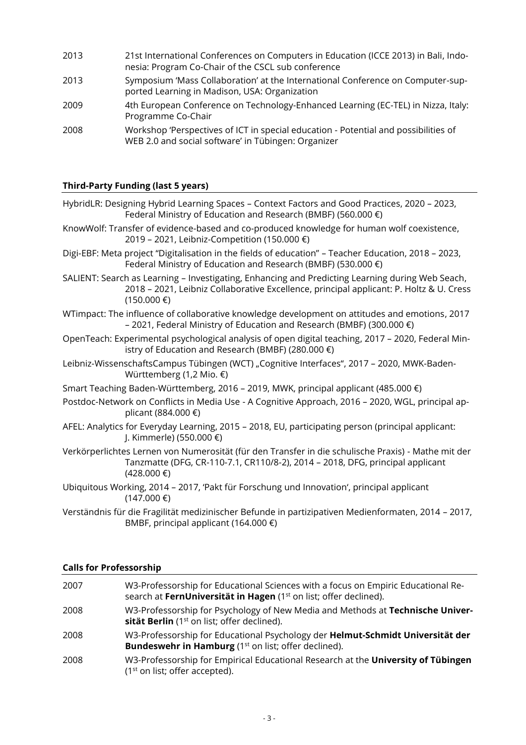2013 21st International Conferences on Computers in Education (ICCE 2013) in Bali, Indonesia: Program Co-Chair of the CSCL sub conference 2013 Symposium 'Mass Collaboration' at the International Conference on Computer-supported Learning in Madison, USA: Organization 2009 4th European Conference on Technology-Enhanced Learning (EC-TEL) in Nizza, Italy: Programme Co-Chair 2008 Workshop 'Perspectives of ICT in special education - Potential and possibilities of WEB 2.0 and social software' in Tübingen: Organizer

### **Third-Party Funding (last 5 years)**

- HybridLR: Designing Hybrid Learning Spaces Context Factors and Good Practices, 2020 2023, Federal Ministry of Education and Research (BMBF) (560.000 €) KnowWolf: Transfer of evidence-based and co-produced knowledge for human wolf coexistence, 2019 – 2021, Leibniz-Competition (150.000 €) Digi-EBF: Meta project "Digitalisation in the fields of education" – Teacher Education, 2018 – 2023, Federal Ministry of Education and Research (BMBF) (530.000 €) SALIENT: Search as Learning – Investigating, Enhancing and Predicting Learning during Web Seach, 2018 – 2021, Leibniz Collaborative Excellence, principal applicant: P. Holtz & U. Cress  $(150.000)$  €) WTimpact: The influence of collaborative knowledge development on attitudes and emotions, 2017 – 2021, Federal Ministry of Education and Research (BMBF) (300.000 €) OpenTeach: Experimental psychological analysis of open digital teaching, 2017 – 2020, Federal Ministry of Education and Research (BMBF) (280.000 €) Leibniz-WissenschaftsCampus Tübingen (WCT) "Cognitive Interfaces", 2017 - 2020, MWK-Baden-Württemberg (1,2 Mio. €) Smart Teaching Baden-Württemberg, 2016 – 2019, MWK, principal applicant (485.000 €) Postdoc-Network on Conflicts in Media Use - A Cognitive Approach, 2016 – 2020, WGL, principal applicant (884.000 €) AFEL: Analytics for Everyday Learning, 2015 – 2018, EU, participating person (principal applicant: J. Kimmerle) (550.000 €) Verkörperlichtes Lernen von Numerosität (für den Transfer in die schulische Praxis) - Mathe mit der Tanzmatte (DFG, CR-110-7.1, CR110/8-2), 2014 – 2018, DFG, principal applicant (428.000 €) Ubiquitous Working, 2014 – 2017, 'Pakt für Forschung und Innovation', principal applicant  $(147.000)$  €)
- Verständnis für die Fragilität medizinischer Befunde in partizipativen Medienformaten, 2014 2017, BMBF, principal applicant (164.000  $\epsilon$ )

### **Calls for Professorship**

| 2007 | W3-Professorship for Educational Sciences with a focus on Empiric Educational Re-                                                                         |
|------|-----------------------------------------------------------------------------------------------------------------------------------------------------------|
|      | search at FernUniversität in Hagen (1 <sup>st</sup> on list; offer declined).                                                                             |
| 2008 | W3-Professorship for Psychology of New Media and Methods at Technische Univer-<br>sität Berlin (1 <sup>st</sup> on list; offer declined).                 |
| 2008 | W3-Professorship for Educational Psychology der Helmut-Schmidt Universität der<br><b>Bundeswehr in Hamburg</b> (1 <sup>st</sup> on list; offer declined). |
| 2008 | W3-Professorship for Empirical Educational Research at the University of Tübingen<br>$(1st$ on list; offer accepted).                                     |